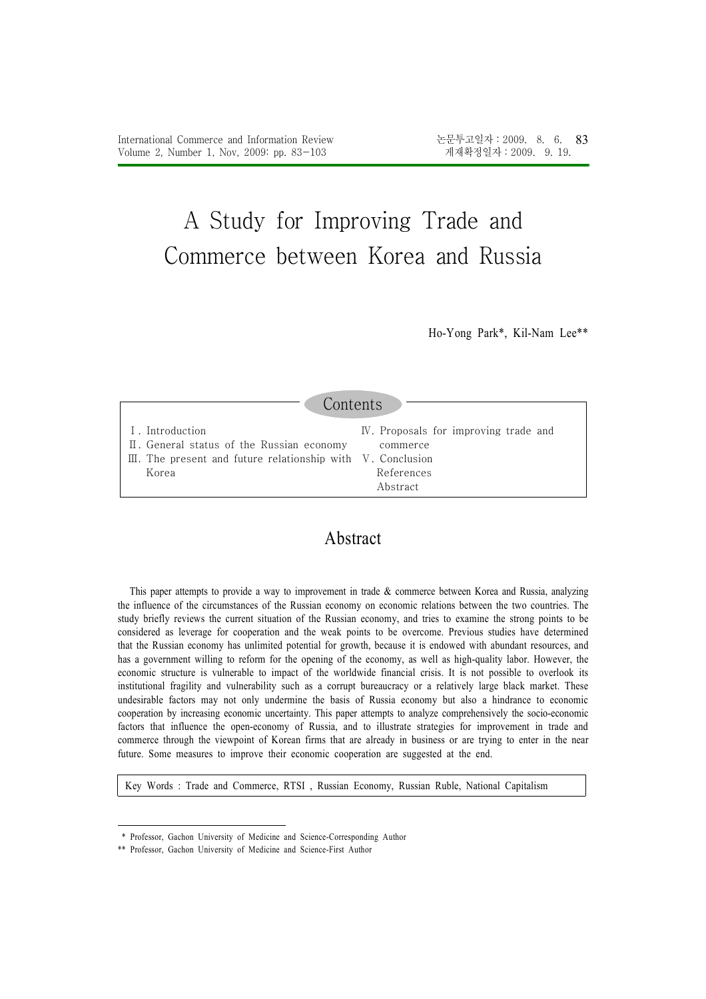# A Study for Improving Trade and Commerce between Korea and Russia

Ho-Yong Park\*, Kil-Nam Lee\*\*

| Contents                                                               |                                       |  |  |  |  |
|------------------------------------------------------------------------|---------------------------------------|--|--|--|--|
| I. Introduction                                                        | IV. Proposals for improving trade and |  |  |  |  |
| II. General status of the Russian economy                              | commerce                              |  |  |  |  |
| $\mathbb{II}$ . The present and future relationship with V. Conclusion | References                            |  |  |  |  |
| Korea                                                                  | Abstract.                             |  |  |  |  |

# Abstract

This paper attempts to provide a way to improvement in trade & commerce between Korea and Russia, analyzing the influence of the circumstances of the Russian economy on economic relations between the two countries. The study briefly reviews the current situation of the Russian economy, and tries to examine the strong points to be considered as leverage for cooperation and the weak points to be overcome. Previous studies have determined that the Russian economy has unlimited potential for growth, because it is endowed with abundant resources, and has a government willing to reform for the opening of the economy, as well as high-quality labor. However, the economic structure is vulnerable to impact of the worldwide financial crisis. It is not possible to overlook its institutional fragility and vulnerability such as a corrupt bureaucracy or a relatively large black market. These undesirable factors may not only undermine the basis of Russia economy but also a hindrance to economic cooperation by increasing economic uncertainty. This paper attempts to analyze comprehensively the socio-economic factors that influence the open-economy of Russia, and to illustrate strategies for improvement in trade and commerce through the viewpoint of Korean firms that are already in business or are trying to enter in the near future. Some measures to improve their economic cooperation are suggested at the end.

Key Words : Trade and Commerce, RTSI , Russian Economy, Russian Ruble, National Capitalism

<sup>\*</sup> Professor, Gachon University of Medicine and Science-Corresponding Author

<sup>\*\*</sup> Professor, Gachon University of Medicine and Science-First Author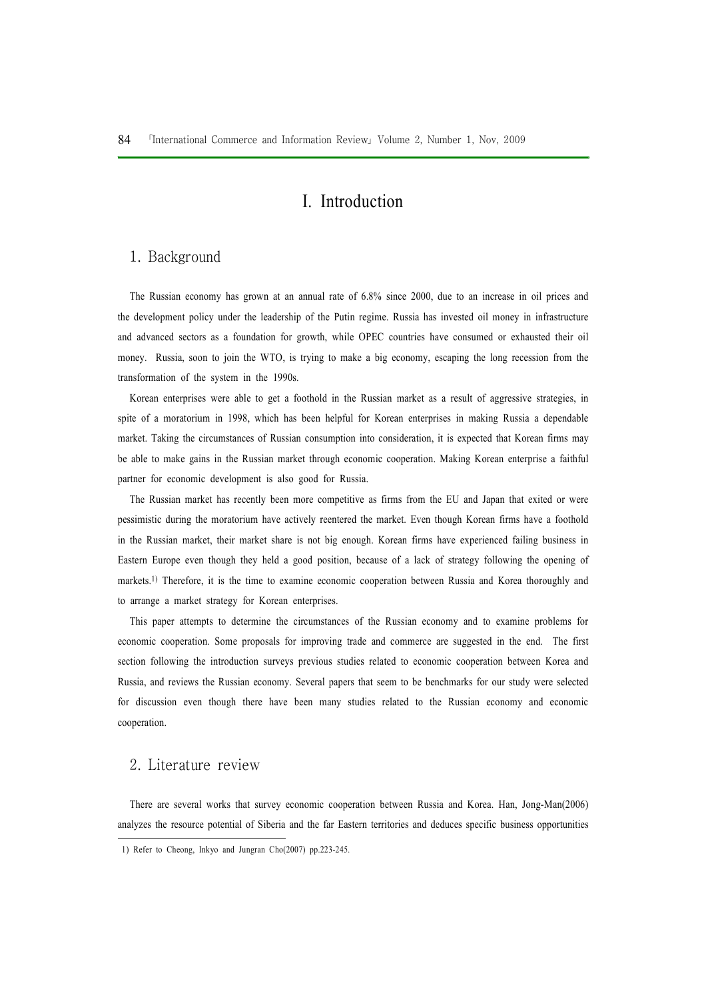# I. Introduction

## 1. Background

The Russian economy has grown at an annual rate of 6.8% since 2000, due to an increase in oil prices and the development policy under the leadership of the Putin regime. Russia has invested oil money in infrastructure and advanced sectors as a foundation for growth, while OPEC countries have consumed or exhausted their oil money. Russia, soon to join the WTO, is trying to make a big economy, escaping the long recession from the transformation of the system in the 1990s.

Korean enterprises were able to get a foothold in the Russian market as a result of aggressive strategies, in spite of a moratorium in 1998, which has been helpful for Korean enterprises in making Russia a dependable market. Taking the circumstances of Russian consumption into consideration, it is expected that Korean firms may be able to make gains in the Russian market through economic cooperation. Making Korean enterprise a faithful partner for economic development is also good for Russia.

The Russian market has recently been more competitive as firms from the EU and Japan that exited or were pessimistic during the moratorium have actively reentered the market. Even though Korean firms have a foothold in the Russian market, their market share is not big enough. Korean firms have experienced failing business in Eastern Europe even though they held a good position, because of a lack of strategy following the opening of markets.1) Therefore, it is the time to examine economic cooperation between Russia and Korea thoroughly and to arrange a market strategy for Korean enterprises.

This paper attempts to determine the circumstances of the Russian economy and to examine problems for economic cooperation. Some proposals for improving trade and commerce are suggested in the end. The first section following the introduction surveys previous studies related to economic cooperation between Korea and Russia, and reviews the Russian economy. Several papers that seem to be benchmarks for our study were selected for discussion even though there have been many studies related to the Russian economy and economic cooperation.

## 2. Literature review

There are several works that survey economic cooperation between Russia and Korea. Han, Jong-Man(2006) analyzes the resource potential of Siberia and the far Eastern territories and deduces specific business opportunities

<sup>1)</sup> Refer to Cheong, Inkyo and Jungran Cho(2007) pp.223-245.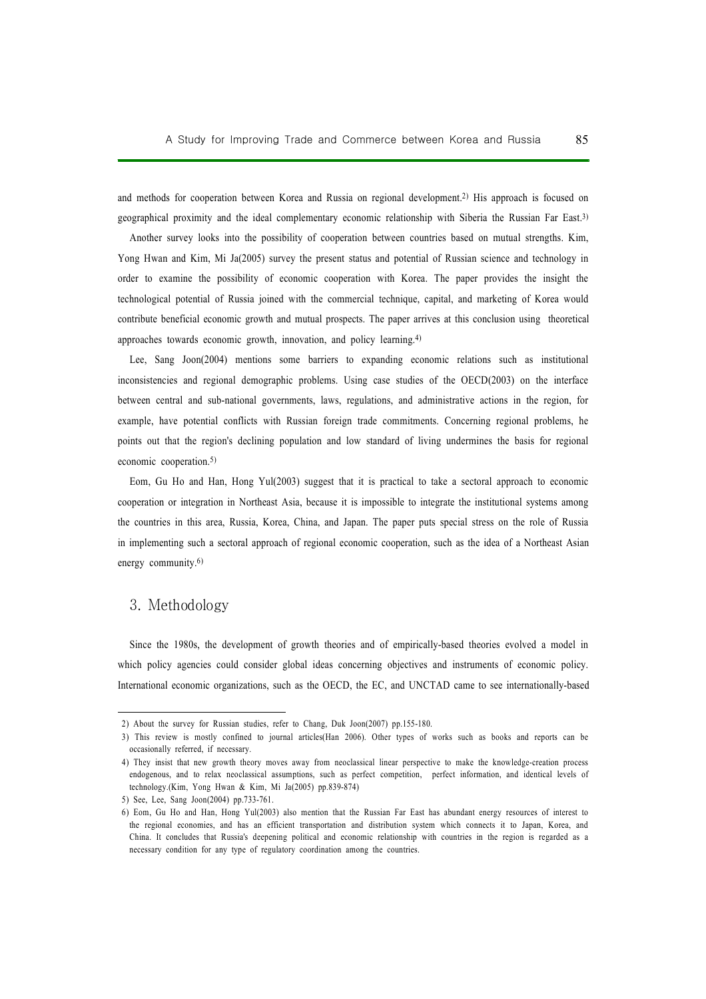and methods for cooperation between Korea and Russia on regional development.2) His approach is focused on geographical proximity and the ideal complementary economic relationship with Siberia the Russian Far East.3)

Another survey looks into the possibility of cooperation between countries based on mutual strengths. Kim, Yong Hwan and Kim, Mi Ja(2005) survey the present status and potential of Russian science and technology in order to examine the possibility of economic cooperation with Korea. The paper provides the insight the technological potential of Russia joined with the commercial technique, capital, and marketing of Korea would contribute beneficial economic growth and mutual prospects. The paper arrives at this conclusion using theoretical approaches towards economic growth, innovation, and policy learning.4)

Lee, Sang Joon(2004) mentions some barriers to expanding economic relations such as institutional inconsistencies and regional demographic problems. Using case studies of the OECD(2003) on the interface between central and sub-national governments, laws, regulations, and administrative actions in the region, for example, have potential conflicts with Russian foreign trade commitments. Concerning regional problems, he points out that the region's declining population and low standard of living undermines the basis for regional economic cooperation.<sup>5)</sup>

Eom, Gu Ho and Han, Hong Yul(2003) suggest that it is practical to take a sectoral approach to economic cooperation or integration in Northeast Asia, because it is impossible to integrate the institutional systems among the countries in this area, Russia, Korea, China, and Japan. The paper puts special stress on the role of Russia in implementing such a sectoral approach of regional economic cooperation, such as the idea of a Northeast Asian energy community.6)

### 3. Methodology

Since the 1980s, the development of growth theories and of empirically-based theories evolved a model in which policy agencies could consider global ideas concerning objectives and instruments of economic policy. International economic organizations, such as the OECD, the EC, and UNCTAD came to see internationally-based

<sup>2)</sup> About the survey for Russian studies, refer to Chang, Duk Joon(2007) pp.155-180.

<sup>3)</sup> This review is mostly confined to journal articles(Han 2006). Other types of works such as books and reports can be occasionally referred, if necessary.

<sup>4)</sup> They insist that new growth theory moves away from neoclassical linear perspective to make the knowledge-creation process endogenous, and to relax neoclassical assumptions, such as perfect competition, perfect information, and identical levels of technology.(Kim, Yong Hwan & Kim, Mi Ja(2005) pp.839-874)

<sup>5)</sup> See, Lee, Sang Joon(2004) pp.733-761.

<sup>6)</sup> Eom, Gu Ho and Han, Hong Yul(2003) also mention that the Russian Far East has abundant energy resources of interest to the regional economies, and has an efficient transportation and distribution system which connects it to Japan, Korea, and China. It concludes that Russia's deepening political and economic relationship with countries in the region is regarded as a necessary condition for any type of regulatory coordination among the countries.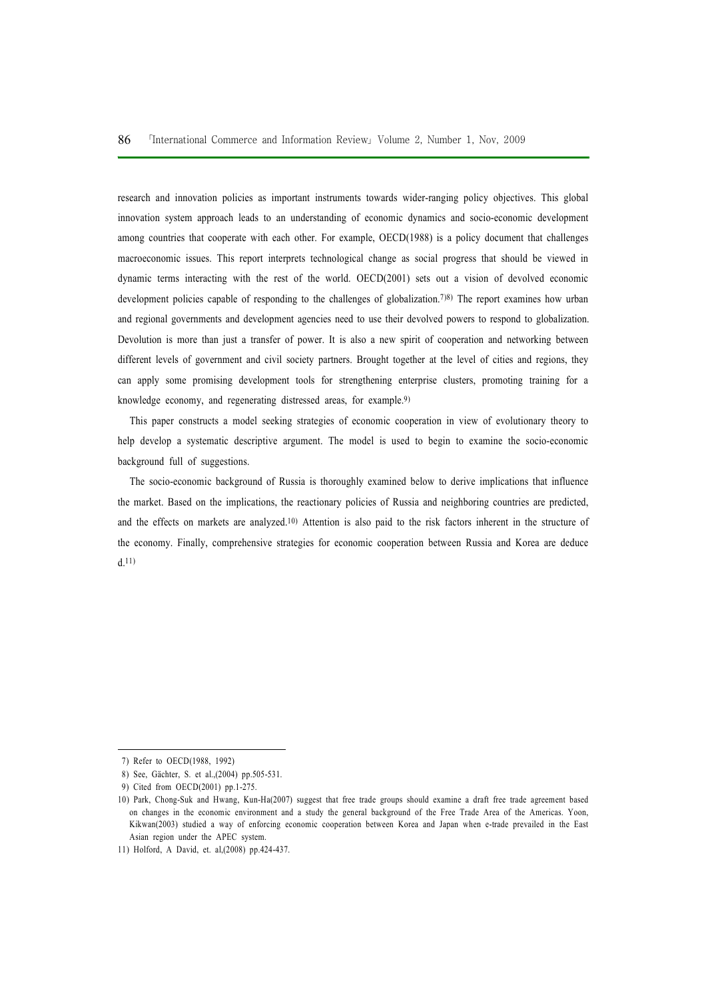research and innovation policies as important instruments towards wider-ranging policy objectives. This global innovation system approach leads to an understanding of economic dynamics and socio-economic development among countries that cooperate with each other. For example, OECD(1988) is a policy document that challenges macroeconomic issues. This report interprets technological change as social progress that should be viewed in dynamic terms interacting with the rest of the world. OECD(2001) sets out a vision of devolved economic development policies capable of responding to the challenges of globalization.<sup>7)8)</sup> The report examines how urban and regional governments and development agencies need to use their devolved powers to respond to globalization. Devolution is more than just a transfer of power. It is also a new spirit of cooperation and networking between different levels of government and civil society partners. Brought together at the level of cities and regions, they can apply some promising development tools for strengthening enterprise clusters, promoting training for a knowledge economy, and regenerating distressed areas, for example.9)

This paper constructs a model seeking strategies of economic cooperation in view of evolutionary theory to help develop a systematic descriptive argument. The model is used to begin to examine the socio-economic background full of suggestions.

The socio-economic background of Russia is thoroughly examined below to derive implications that influence the market. Based on the implications, the reactionary policies of Russia and neighboring countries are predicted, and the effects on markets are analyzed.10) Attention is also paid to the risk factors inherent in the structure of the economy. Finally, comprehensive strategies for economic cooperation between Russia and Korea are deduce d.11)

<sup>7)</sup> Refer to OECD(1988, 1992)

<sup>8)</sup> See, Gächter, S. et al.,(2004) pp.505-531.

<sup>9)</sup> Cited from OECD(2001) pp.1-275.

<sup>10)</sup> Park, Chong-Suk and Hwang, Kun-Ha(2007) suggest that free trade groups should examine a draft free trade agreement based on changes in the economic environment and a study the general background of the Free Trade Area of the Americas. Yoon, Kikwan(2003) studied a way of enforcing economic cooperation between Korea and Japan when e-trade prevailed in the East Asian region under the APEC system.

<sup>11)</sup> Holford, A David, et. al,(2008) pp.424-437.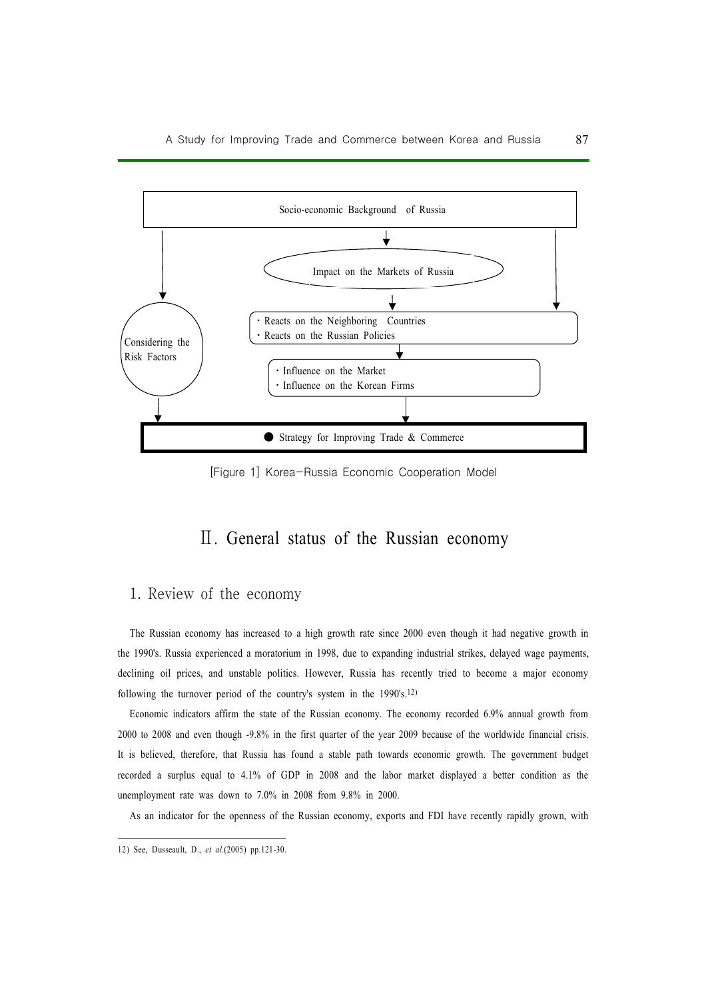

[Figure 1] Korea-Russia Economic Cooperation Model

# Ⅱ. General status of the Russian economy

# 1. Review of the economy

The Russian economy has increased to a high growth rate since 2000 even though it had negative growth in the 1990's. Russia experienced a moratorium in 1998, due to expanding industrial strikes, delayed wage payments, declining oil prices, and unstable politics. However, Russia has recently tried to become a major economy following the turnover period of the country's system in the 1990's.12)

Economic indicators affirm the state of the Russian economy. The economy recorded 6.9% annual growth from 2000 to 2008 and even though -9.8% in the first quarter of the year 2009 because of the worldwide financial crisis. It is believed, therefore, that Russia has found a stable path towards economic growth. The government budget recorded a surplus equal to 4.1% of GDP in 2008 and the labor market displayed a better condition as the unemployment rate was down to 7.0% in 2008 from 9.8% in 2000.

As an indicator for the openness of the Russian economy, exports and FDI have recently rapidly grown, with

<sup>12)</sup> See, Dusseault, D., et al.(2005) pp.121-30.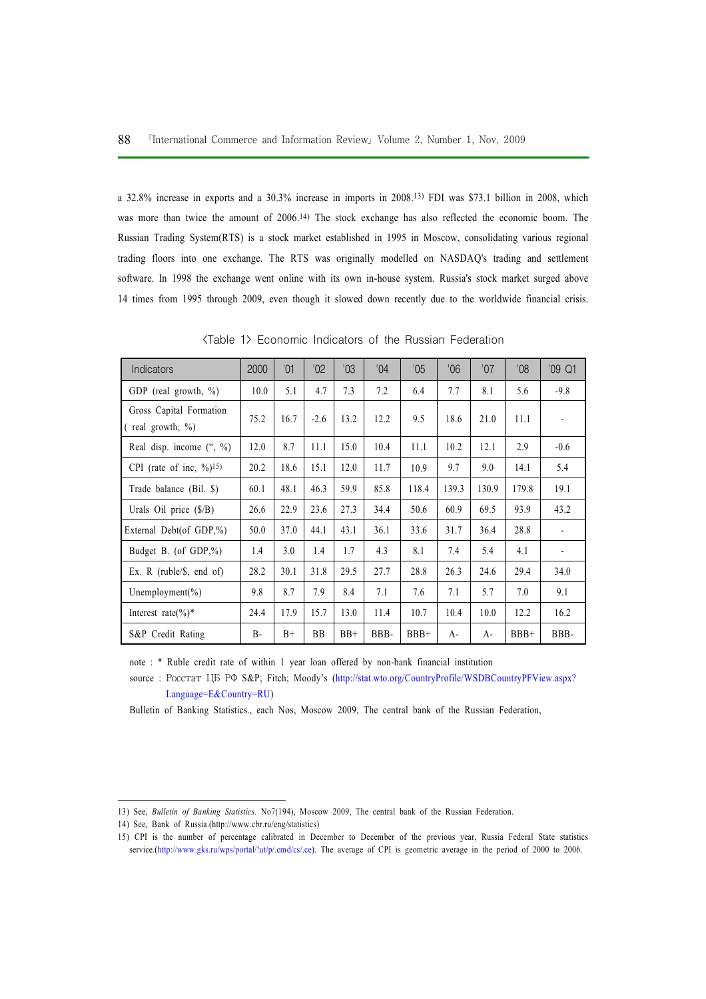a 32.8% increase in exports and a 30.3% increase in imports in 2008.13) FDI was \$73.1 billion in 2008, which was more than twice the amount of 2006.14) The stock exchange has also reflected the economic boom. The Russian Trading System(RTS) is a stock market established in 1995 in Moscow, consolidating various regional trading floors into one exchange. The RTS was originally modelled on NASDAQ's trading and settlement software. In 1998 the exchange went online with its own in-house system. Russia's stock market surged above 14 times from 1995 through 2009, even though it slowed down recently due to the worldwide financial crisis.

| <b>Indicators</b>                               | 2000      | '01  | $^{\prime}02$ | 03    | $^{\prime}04$ | $^{\prime}05$ | 06'   | 07'   | 80'    | '09 Q1         |
|-------------------------------------------------|-----------|------|---------------|-------|---------------|---------------|-------|-------|--------|----------------|
| GDP (real growth, $\%$ )                        | 10.0      | 5.1  | 4.7           | 7.3   | 7.2           | 6.4           | 7.7   | 8.1   | 5.6    | $-9.8$         |
| Gross Capital Formation<br>(real growth, $\%$ ) | 75.2      | 16.7 | $-2.6$        | 13.2  | 12.2          | 9.5           | 18.6  | 21.0  | 11.1   |                |
| Real disp. income $($ ", $\% )$                 | 12.0      | 8.7  | 11.1          | 15.0  | 10.4          | 11.1          | 10.2  | 12.1  | 2.9    | $-0.6$         |
| CPI (rate of inc, $\frac{9}{15}$ )              | 20.2      | 18.6 | 15.1          | 12.0  | 11.7          | 10.9          | 9.7   | 9.0   | 14.1   | 5.4            |
| Trade balance (Bil. \$)                         | 60.1      | 48.1 | 46.3          | 59.9  | 85.8          | 118.4         | 139.3 | 130.9 | 179.8  | 19.1           |
| Urals Oil price $(\frac{5}{B})$                 | 26.6      | 22.9 | 23.6          | 27.3  | 34.4          | 50.6          | 60.9  | 69.5  | 93.9   | 43.2           |
| External Debt(of GDP, $\%$ )                    | 50.0      | 37.0 | 44.1          | 43.1  | 36.1          | 33.6          | 31.7  | 36.4  | 28.8   |                |
| Budget B. (of $GDP\mathcal{N}_0$ )              | 1.4       | 3.0  | 1.4           | 1.7   | 4.3           | 8.1           | 7.4   | 5.4   | 4.1    | $\overline{a}$ |
| Ex. R ( $ruble/S$ , end of)                     | 28.2      | 30.1 | 31.8          | 29.5  | 27.7          | 28.8          | 26.3  | 24.6  | 29.4   | 34.0           |
| Unemployment(%)                                 | 9.8       | 8.7  | 7.9           | 8.4   | 7.1           | 7.6           | 7.1   | 5.7   | 7.0    | 9.1            |
| Interest rate $(\%)^*$                          | 24.4      | 17.9 | 15.7          | 13.0  | 11.4          | 10.7          | 10.4  | 10.0  | 12.2   | 16.2           |
| S&P Credit Rating                               | <b>B-</b> | $B+$ | <b>BB</b>     | $BB+$ | BBB-          | $BBB+$        | A-    | $A-$  | $BBB+$ | BBB-           |

<Table 1> Economic Indicators of the Russian Federation

note : \* Ruble credit rate of within 1 year loan offered by non-bank financial institution

source : PoccTaT LIB PO S&P; Fitch; Moody's (http://stat.wto.org/CountryProfile/WSDBCountryPFView.aspx? Language=E&Country=RU)

Bulletin of Banking Statistics., each Nos, Moscow 2009, The central bank of the Russian Federation,

<sup>13)</sup> See, Bulletin of Banking Statistics. No7(194), Moscow 2009, The central bank of the Russian Federation.

<sup>14)</sup> See, Bank of Russia.(http://www.cbr.ru/eng/statistics)

<sup>15)</sup> CPI is the number of percentage calibrated in December to December of the previous year, Russia Federal State statistics service.(http://www.gks.ru/wps/portal/!ut/p/.cmd/cs/.ce). The average of CPI is geometric average in the period of 2000 to 2006.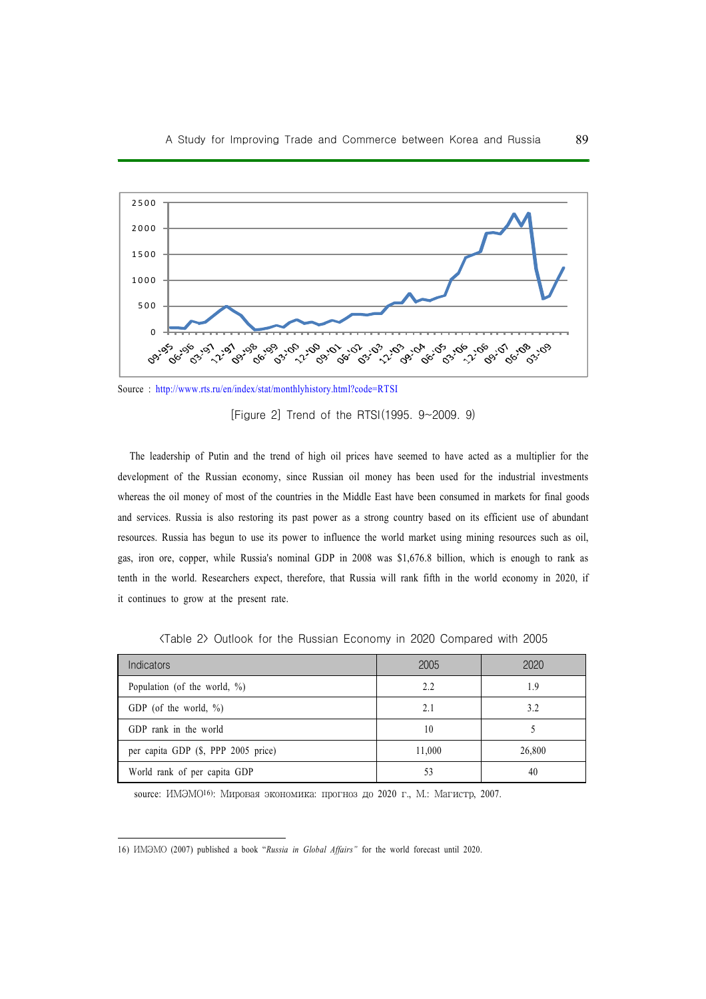

Source : http://www.rts.ru/en/index/stat/monthlyhistory.html?code=RTSI

[Figure 2] Trend of the RTSI(1995. 9~2009. 9)

The leadership of Putin and the trend of high oil prices have seemed to have acted as a multiplier for the development of the Russian economy, since Russian oil money has been used for the industrial investments whereas the oil money of most of the countries in the Middle East have been consumed in markets for final goods and services. Russia is also restoring its past power as a strong country based on its efficient use of abundant resources. Russia has begun to use its power to influence the world market using mining resources such as oil, gas, iron ore, copper, while Russia's nominal GDP in 2008 was \$1,676.8 billion, which is enough to rank as tenth in the world. Researchers expect, therefore, that Russia will rank fifth in the world economy in 2020, if it continues to grow at the present rate.

| Indicators                          | 2005   | 2020   |
|-------------------------------------|--------|--------|
| Population (of the world, $\%$ )    | 2.2    | 1.9    |
| GDP (of the world, $\%$ )           | 2.1    | 3.2    |
| GDP rank in the world               | 10     |        |
| per capita GDP (\$, PPP 2005 price) | 11,000 | 26,800 |
| World rank of per capita GDP        | 53     | 40     |

<Table 2> Outlook for the Russian Economy in 2020 Compared with 2005

source: ИМЭМО<sup>16</sup>): Мировая экономика: прогноз до 2020 г., М.: Магистр, 2007.

<sup>16)</sup> IMMHO (2007) published a book "Russia in Global Affairs" for the world forecast until 2020.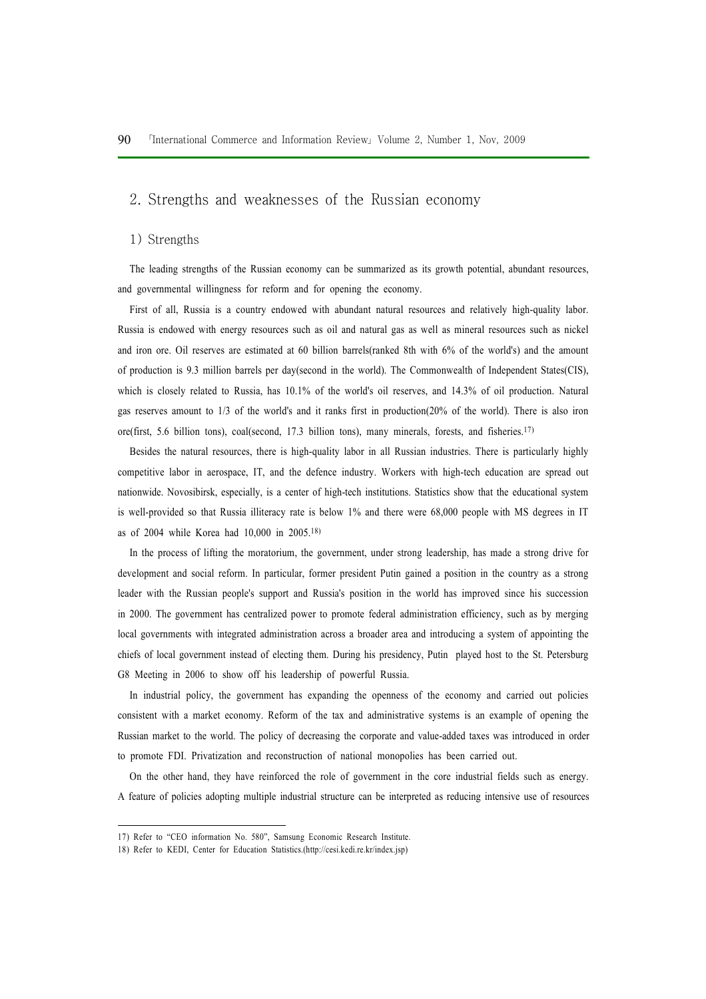## 2. Strengths and weaknesses of the Russian economy

#### 1) Strengths

The leading strengths of the Russian economy can be summarized as its growth potential, abundant resources, and governmental willingness for reform and for opening the economy.

First of all, Russia is a country endowed with abundant natural resources and relatively high-quality labor. Russia is endowed with energy resources such as oil and natural gas as well as mineral resources such as nickel and iron ore. Oil reserves are estimated at 60 billion barrels(ranked 8th with 6% of the world's) and the amount of production is 9.3 million barrels per day(second in the world). The Commonwealth of Independent States(CIS), which is closely related to Russia, has 10.1% of the world's oil reserves, and 14.3% of oil production. Natural gas reserves amount to 1/3 of the world's and it ranks first in production(20% of the world). There is also iron ore(first, 5.6 billion tons), coal(second, 17.3 billion tons), many minerals, forests, and fisheries.17)

Besides the natural resources, there is high-quality labor in all Russian industries. There is particularly highly competitive labor in aerospace, IT, and the defence industry. Workers with high-tech education are spread out nationwide. Novosibirsk, especially, is a center of high-tech institutions. Statistics show that the educational system is well-provided so that Russia illiteracy rate is below 1% and there were 68,000 people with MS degrees in IT as of 2004 while Korea had 10,000 in 2005.18)

In the process of lifting the moratorium, the government, under strong leadership, has made a strong drive for development and social reform. In particular, former president Putin gained a position in the country as a strong leader with the Russian people's support and Russia's position in the world has improved since his succession in 2000. The government has centralized power to promote federal administration efficiency, such as by merging local governments with integrated administration across a broader area and introducing a system of appointing the chiefs of local government instead of electing them. During his presidency, Putin played host to the St. Petersburg G8 Meeting in 2006 to show off his leadership of powerful Russia.

In industrial policy, the government has expanding the openness of the economy and carried out policies consistent with a market economy. Reform of the tax and administrative systems is an example of opening the Russian market to the world. The policy of decreasing the corporate and value-added taxes was introduced in order to promote FDI. Privatization and reconstruction of national monopolies has been carried out.

On the other hand, they have reinforced the role of government in the core industrial fields such as energy. A feature of policies adopting multiple industrial structure can be interpreted as reducing intensive use of resources

<sup>17)</sup> Refer to "CEO information No. 580", Samsung Economic Research Institute.

<sup>18)</sup> Refer to KEDI, Center for Education Statistics.(http://cesi.kedi.re.kr/index.jsp)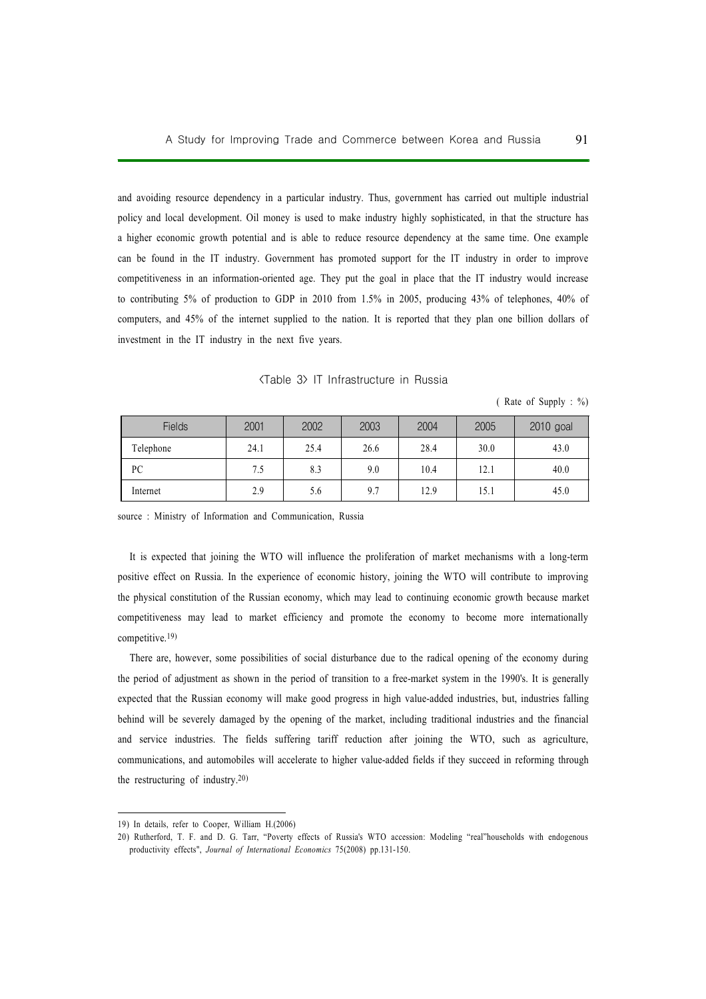and avoiding resource dependency in a particular industry. Thus, government has carried out multiple industrial policy and local development. Oil money is used to make industry highly sophisticated, in that the structure has a higher economic growth potential and is able to reduce resource dependency at the same time. One example can be found in the IT industry. Government has promoted support for the IT industry in order to improve competitiveness in an information-oriented age. They put the goal in place that the IT industry would increase to contributing 5% of production to GDP in 2010 from 1.5% in 2005, producing 43% of telephones, 40% of computers, and 45% of the internet supplied to the nation. It is reported that they plan one billion dollars of investment in the IT industry in the next five years.

|  |  | <table 3=""> IT Infrastructure in Russia</table> |  |  |
|--|--|--------------------------------------------------|--|--|
|--|--|--------------------------------------------------|--|--|

( Rate of Supply : %)

| <b>Fields</b> | 2001 | 2002 | 2003 | 2004 | 2005 | 2010 goal |
|---------------|------|------|------|------|------|-----------|
| Telephone     | 24.1 | 25.4 | 26.6 | 28.4 | 30.0 | 43.0      |
| PC            | 7.5  | 8.3  | 9.0  | 10.4 | 12.1 | 40.0      |
| Internet      | 2.9  | 5.6  | 9.7  | 12.9 | 15.1 | 45.0      |

source : Ministry of Information and Communication, Russia

It is expected that joining the WTO will influence the proliferation of market mechanisms with a long-term positive effect on Russia. In the experience of economic history, joining the WTO will contribute to improving the physical constitution of the Russian economy, which may lead to continuing economic growth because market competitiveness may lead to market efficiency and promote the economy to become more internationally competitive.19)

There are, however, some possibilities of social disturbance due to the radical opening of the economy during the period of adjustment as shown in the period of transition to a free-market system in the 1990's. It is generally expected that the Russian economy will make good progress in high value-added industries, but, industries falling behind will be severely damaged by the opening of the market, including traditional industries and the financial and service industries. The fields suffering tariff reduction after joining the WTO, such as agriculture, communications, and automobiles will accelerate to higher value-added fields if they succeed in reforming through the restructuring of industry.20)

<sup>19)</sup> In details, refer to Cooper, William H.(2006)

<sup>20)</sup> Rutherford, T. F. and D. G. Tarr, "Poverty effects of Russia's WTO accession: Modeling "real"households with endogenous productivity effects", Journal of International Economics 75(2008) pp.131-150.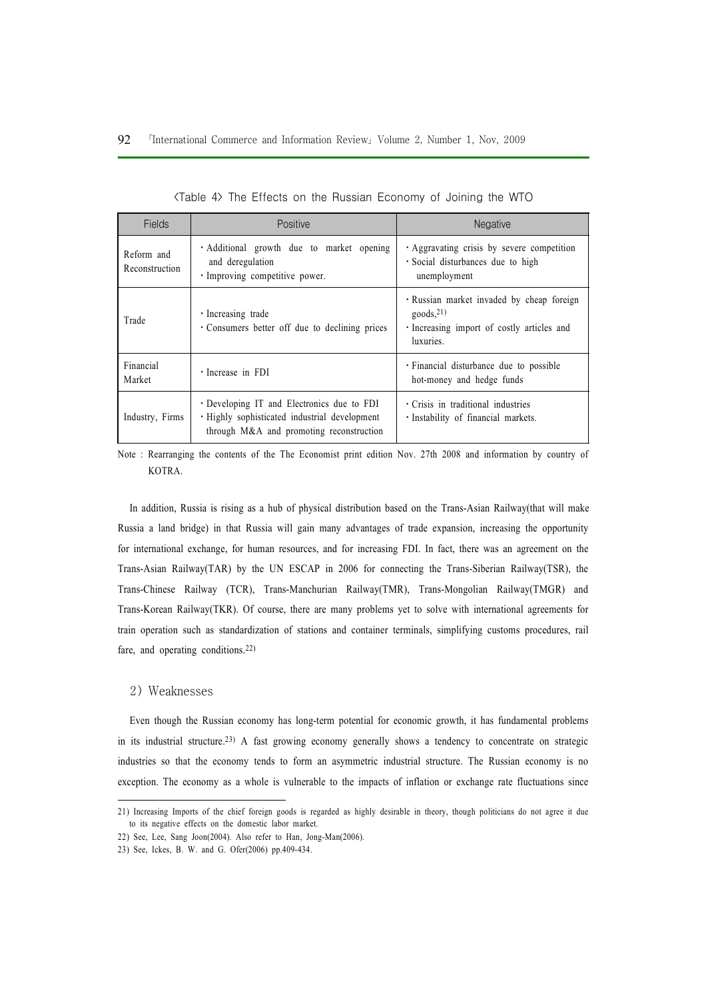| Fields                       | Positive                                                                                                                                | <b>Negative</b>                                                                                                           |
|------------------------------|-----------------------------------------------------------------------------------------------------------------------------------------|---------------------------------------------------------------------------------------------------------------------------|
| Reform and<br>Reconstruction | · Additional growth due to market opening<br>and deregulation<br>· Improving competitive power.                                         | Aggravating crisis by severe competition<br>· Social disturbances due to high<br>unemployment                             |
| Trade                        | $\cdot$ Increasing trade<br>• Consumers better off due to declining prices                                                              | · Russian market invaded by cheap foreign<br>goods <sub>21</sub><br>Increasing import of costly articles and<br>luxuries. |
| Financial<br>Market          | · Increase in FDI                                                                                                                       | • Financial disturbance due to possible<br>hot-money and hedge funds                                                      |
| Industry, Firms              | • Developing IT and Electronics due to FDI<br>· Highly sophisticated industrial development<br>through M&A and promoting reconstruction | Crisis in traditional industries<br>· Instability of financial markets.                                                   |

Note : Rearranging the contents of the The Economist print edition Nov. 27th 2008 and information by country of KOTRA.

In addition, Russia is rising as a hub of physical distribution based on the Trans-Asian Railway(that will make Russia a land bridge) in that Russia will gain many advantages of trade expansion, increasing the opportunity for international exchange, for human resources, and for increasing FDI. In fact, there was an agreement on the Trans-Asian Railway(TAR) by the UN ESCAP in 2006 for connecting the Trans-Siberian Railway(TSR), the Trans-Chinese Railway (TCR), Trans-Manchurian Railway(TMR), Trans-Mongolian Railway(TMGR) and Trans-Korean Railway(TKR). Of course, there are many problems yet to solve with international agreements for train operation such as standardization of stations and container terminals, simplifying customs procedures, rail fare, and operating conditions.22)

#### 2) Weaknesses

Even though the Russian economy has long-term potential for economic growth, it has fundamental problems in its industrial structure.23) A fast growing economy generally shows a tendency to concentrate on strategic industries so that the economy tends to form an asymmetric industrial structure. The Russian economy is no exception. The economy as a whole is vulnerable to the impacts of inflation or exchange rate fluctuations since

<sup>21)</sup> Increasing Imports of the chief foreign goods is regarded as highly desirable in theory, though politicians do not agree it due to its negative effects on the domestic labor market.

<sup>22)</sup> See, Lee, Sang Joon(2004). Also refer to Han, Jong-Man(2006).

<sup>23)</sup> See, Ickes, B. W. and G. Ofer(2006) pp.409-434.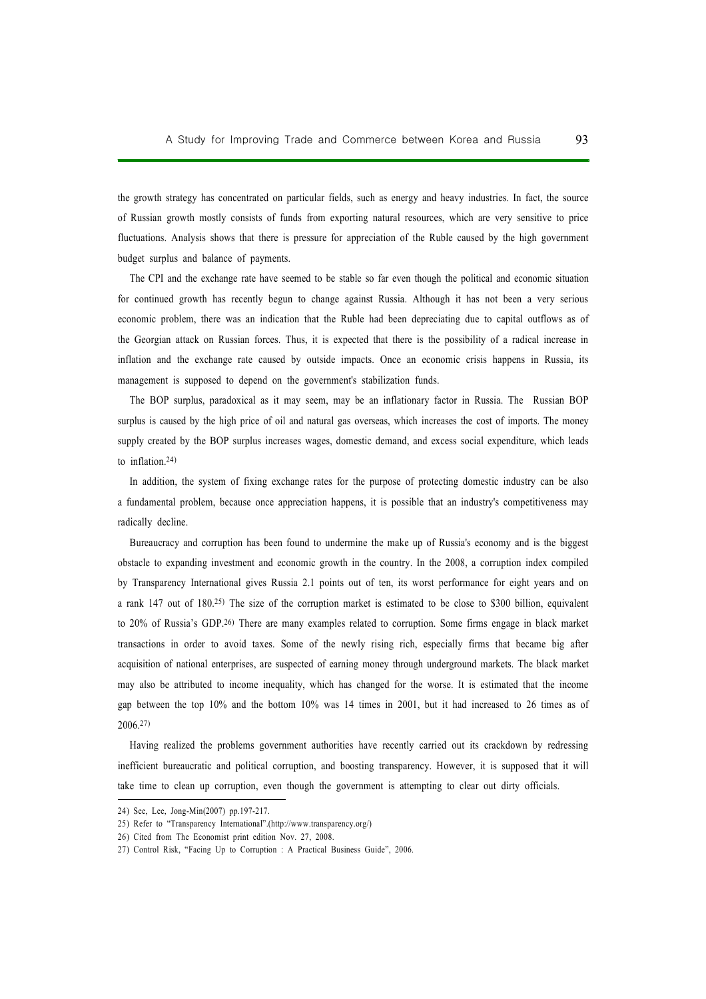the growth strategy has concentrated on particular fields, such as energy and heavy industries. In fact, the source of Russian growth mostly consists of funds from exporting natural resources, which are very sensitive to price fluctuations. Analysis shows that there is pressure for appreciation of the Ruble caused by the high government budget surplus and balance of payments.

The CPI and the exchange rate have seemed to be stable so far even though the political and economic situation for continued growth has recently begun to change against Russia. Although it has not been a very serious economic problem, there was an indication that the Ruble had been depreciating due to capital outflows as of the Georgian attack on Russian forces. Thus, it is expected that there is the possibility of a radical increase in inflation and the exchange rate caused by outside impacts. Once an economic crisis happens in Russia, its management is supposed to depend on the government's stabilization funds.

The BOP surplus, paradoxical as it may seem, may be an inflationary factor in Russia. The Russian BOP surplus is caused by the high price of oil and natural gas overseas, which increases the cost of imports. The money supply created by the BOP surplus increases wages, domestic demand, and excess social expenditure, which leads to inflation.24)

In addition, the system of fixing exchange rates for the purpose of protecting domestic industry can be also a fundamental problem, because once appreciation happens, it is possible that an industry's competitiveness may radically decline.

Bureaucracy and corruption has been found to undermine the make up of Russia's economy and is the biggest obstacle to expanding investment and economic growth in the country. In the 2008, a corruption index compiled by Transparency International gives Russia 2.1 points out of ten, its worst performance for eight years and on a rank 147 out of 180.25) The size of the corruption market is estimated to be close to \$300 billion, equivalent to 20% of Russia's GDP.26) There are many examples related to corruption. Some firms engage in black market transactions in order to avoid taxes. Some of the newly rising rich, especially firms that became big after acquisition of national enterprises, are suspected of earning money through underground markets. The black market may also be attributed to income inequality, which has changed for the worse. It is estimated that the income gap between the top 10% and the bottom 10% was 14 times in 2001, but it had increased to 26 times as of 2006.27)

Having realized the problems government authorities have recently carried out its crackdown by redressing inefficient bureaucratic and political corruption, and boosting transparency. However, it is supposed that it will take time to clean up corruption, even though the government is attempting to clear out dirty officials.

<sup>24)</sup> See, Lee, Jong-Min(2007) pp.197-217.

<sup>25)</sup> Refer to "Transparency International".(http://www.transparency.org/)

<sup>26)</sup> Cited from The Economist print edition Nov. 27, 2008.

<sup>27)</sup> Control Risk, "Facing Up to Corruption : A Practical Business Guide", 2006.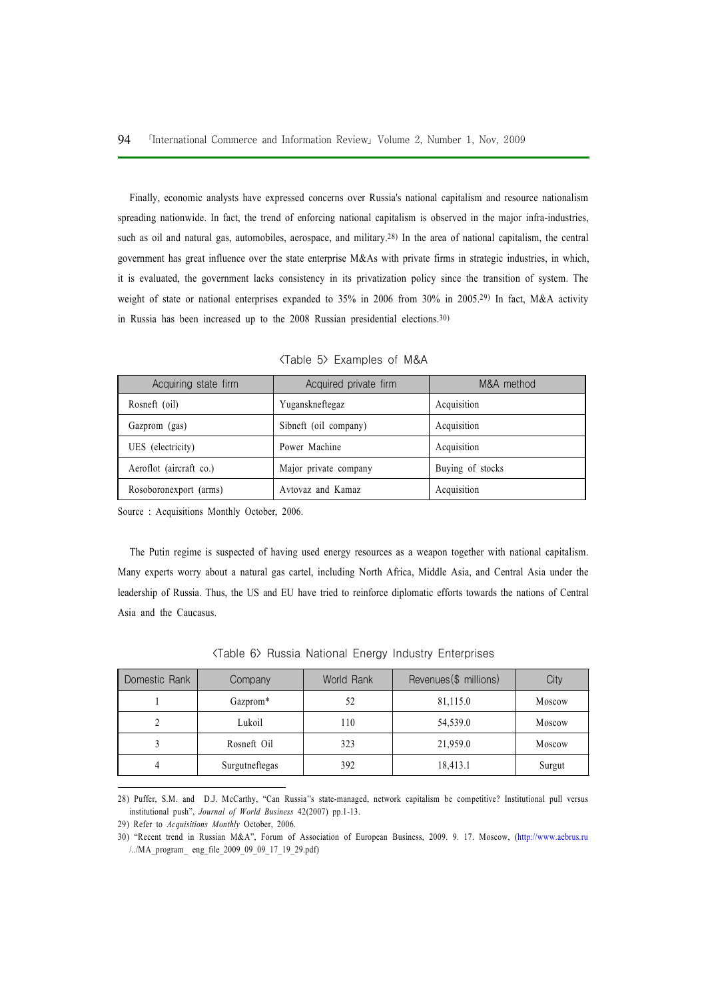Finally, economic analysts have expressed concerns over Russia's national capitalism and resource nationalism spreading nationwide. In fact, the trend of enforcing national capitalism is observed in the major infra-industries, such as oil and natural gas, automobiles, aerospace, and military.<sup>28)</sup> In the area of national capitalism, the central government has great influence over the state enterprise M&As with private firms in strategic industries, in which, it is evaluated, the government lacks consistency in its privatization policy since the transition of system. The weight of state or national enterprises expanded to 35% in 2006 from 30% in 2005.<sup>29)</sup> In fact, M&A activity in Russia has been increased up to the 2008 Russian presidential elections.30)

| Acquiring state firm    | Acquired private firm | M&A method       |
|-------------------------|-----------------------|------------------|
| Rosneft (oil)           | Yuganskneftegaz       | Acquisition      |
| Gazprom (gas)           | Sibneft (oil company) | Acquisition      |
| UES (electricity)       | Power Machine         | Acquisition      |
| Aeroflot (aircraft co.) | Major private company | Buying of stocks |
| Rosoboronexport (arms)  | Avtovaz and Kamaz     | Acquisition      |

<Table 5> Examples of M&A

Source : Acquisitions Monthly October, 2006.

The Putin regime is suspected of having used energy resources as a weapon together with national capitalism. Many experts worry about a natural gas cartel, including North Africa, Middle Asia, and Central Asia under the leadership of Russia. Thus, the US and EU have tried to reinforce diplomatic efforts towards the nations of Central Asia and the Caucasus.

| Domestic Rank | Company        | World Rank | Revenues (\$ millions) | City   |
|---------------|----------------|------------|------------------------|--------|
|               | Gazprom*       | 52         | 81,115.0               | Moscow |
|               | Lukoil         | 110        | 54,539.0               | Moscow |
|               | Rosneft Oil    | 323        | 21,959.0               | Moscow |
|               | Surgutneftegas | 392        | 18,413.1               | Surgut |

<Table 6> Russia National Energy Industry Enterprises

28) Puffer, S.M. and D.J. McCarthy, "Can Russia''s state-managed, network capitalism be competitive? Institutional pull versus institutional push", Journal of World Business 42(2007) pp.1-13.

29) Refer to Acquisitions Monthly October, 2006.

30) "Recent trend in Russian M&A", Forum of Association of European Business, 2009. 9. 17. Moscow, (http://www.aebrus.ru /../MA\_program\_ eng\_file\_2009\_09\_09\_17\_19\_29.pdf)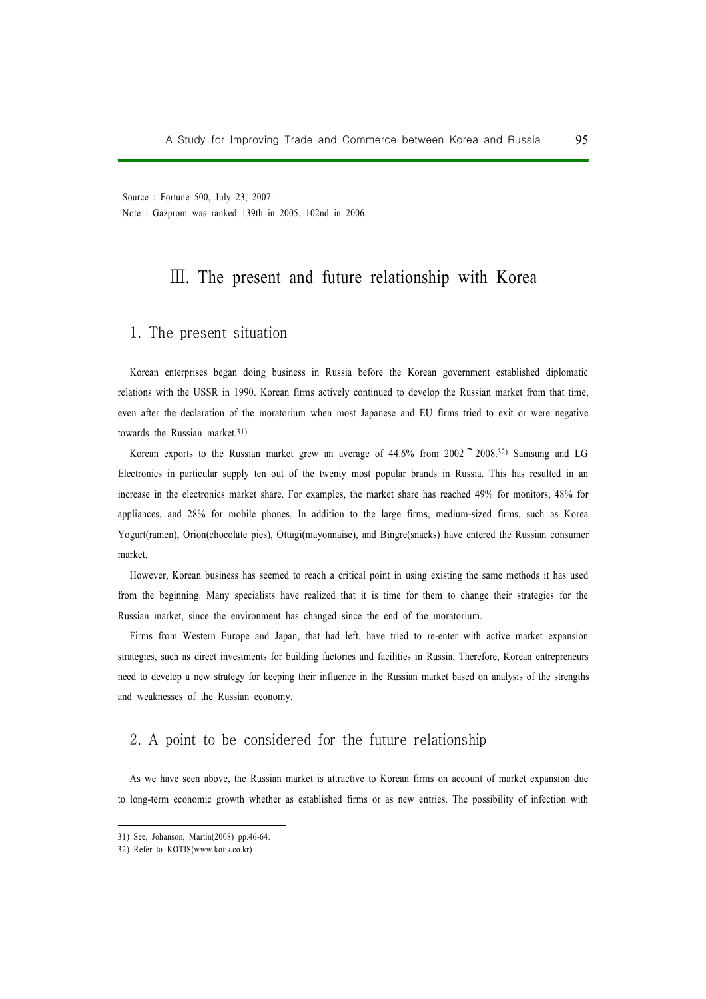Source : Fortune 500, July 23, 2007. Note : Gazprom was ranked 139th in 2005, 102nd in 2006.

# Ⅲ. The present and future relationship with Korea

# 1. The present situation

Korean enterprises began doing business in Russia before the Korean government established diplomatic relations with the USSR in 1990. Korean firms actively continued to develop the Russian market from that time, even after the declaration of the moratorium when most Japanese and EU firms tried to exit or were negative towards the Russian market.31)

Korean exports to the Russian market grew an average of  $44.6\%$  from  $2002$   $\degree$   $2008.32$ ) Samsung and LG Electronics in particular supply ten out of the twenty most popular brands in Russia. This has resulted in an increase in the electronics market share. For examples, the market share has reached 49% for monitors, 48% for appliances, and 28% for mobile phones. In addition to the large firms, medium-sized firms, such as Korea Yogurt(ramen), Orion(chocolate pies), Ottugi(mayonnaise), and Bingre(snacks) have entered the Russian consumer market.

However, Korean business has seemed to reach a critical point in using existing the same methods it has used from the beginning. Many specialists have realized that it is time for them to change their strategies for the Russian market, since the environment has changed since the end of the moratorium.

Firms from Western Europe and Japan, that had left, have tried to re-enter with active market expansion strategies, such as direct investments for building factories and facilities in Russia. Therefore, Korean entrepreneurs need to develop a new strategy for keeping their influence in the Russian market based on analysis of the strengths and weaknesses of the Russian economy.

# 2. A point to be considered for the future relationship

As we have seen above, the Russian market is attractive to Korean firms on account of market expansion due to long-term economic growth whether as established firms or as new entries. The possibility of infection with

<sup>31)</sup> See, Johanson, Martin(2008) pp.46-64.

<sup>32)</sup> Refer to KOTIS(www.kotis.co.kr)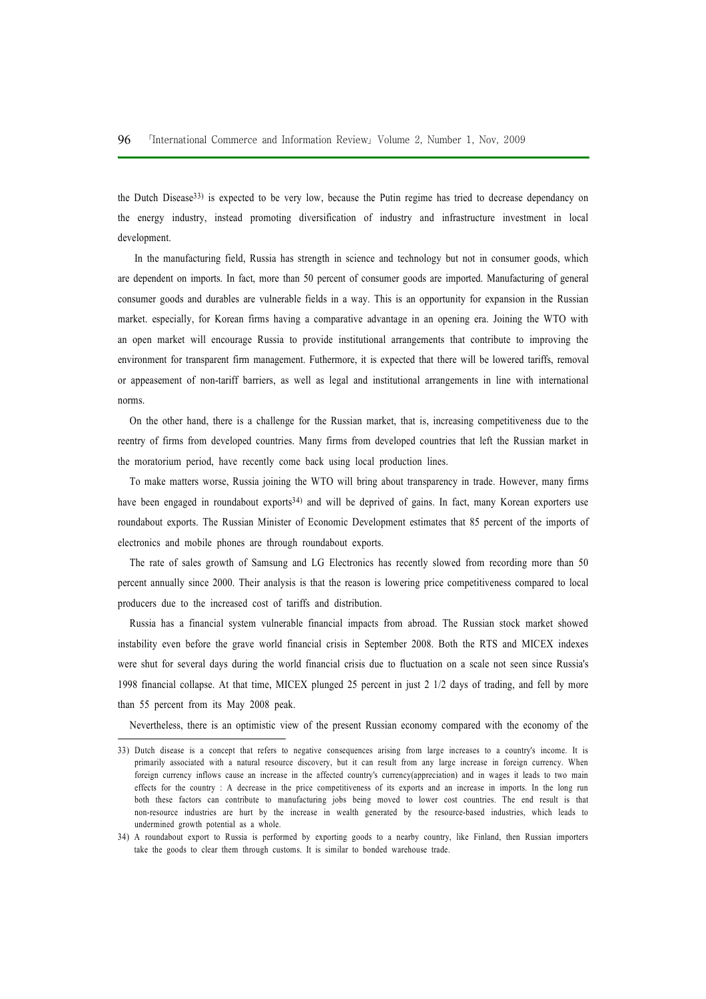the Dutch Disease<sup>33</sup>) is expected to be very low, because the Putin regime has tried to decrease dependancy on the energy industry, instead promoting diversification of industry and infrastructure investment in local development.

In the manufacturing field, Russia has strength in science and technology but not in consumer goods, which are dependent on imports. In fact, more than 50 percent of consumer goods are imported. Manufacturing of general consumer goods and durables are vulnerable fields in a way. This is an opportunity for expansion in the Russian market. especially, for Korean firms having a comparative advantage in an opening era. Joining the WTO with an open market will encourage Russia to provide institutional arrangements that contribute to improving the environment for transparent firm management. Futhermore, it is expected that there will be lowered tariffs, removal or appeasement of non-tariff barriers, as well as legal and institutional arrangements in line with international norms.

On the other hand, there is a challenge for the Russian market, that is, increasing competitiveness due to the reentry of firms from developed countries. Many firms from developed countries that left the Russian market in the moratorium period, have recently come back using local production lines.

To make matters worse, Russia joining the WTO will bring about transparency in trade. However, many firms have been engaged in roundabout exports<sup>34)</sup> and will be deprived of gains. In fact, many Korean exporters use roundabout exports. The Russian Minister of Economic Development estimates that 85 percent of the imports of electronics and mobile phones are through roundabout exports.

The rate of sales growth of Samsung and LG Electronics has recently slowed from recording more than 50 percent annually since 2000. Their analysis is that the reason is lowering price competitiveness compared to local producers due to the increased cost of tariffs and distribution.

Russia has a financial system vulnerable financial impacts from abroad. The Russian stock market showed instability even before the grave world financial crisis in September 2008. Both the RTS and MICEX indexes were shut for several days during the world financial crisis due to fluctuation on a scale not seen since Russia's 1998 financial collapse. At that time, MICEX plunged 25 percent in just 2 1/2 days of trading, and fell by more than 55 percent from its May 2008 peak.

Nevertheless, there is an optimistic view of the present Russian economy compared with the economy of the

<sup>33)</sup> Dutch disease is a concept that refers to negative consequences arising from large increases to a country's income. It is primarily associated with a natural resource discovery, but it can result from any large increase in foreign currency. When foreign currency inflows cause an increase in the affected country's currency(appreciation) and in wages it leads to two main effects for the country : A decrease in the price competitiveness of its exports and an increase in imports. In the long run both these factors can contribute to manufacturing jobs being moved to lower cost countries. The end result is that non-resource industries are hurt by the increase in wealth generated by the resource-based industries, which leads to undermined growth potential as a whole.

<sup>34)</sup> A roundabout export to Russia is performed by exporting goods to a nearby country, like Finland, then Russian importers take the goods to clear them through customs. It is similar to bonded warehouse trade.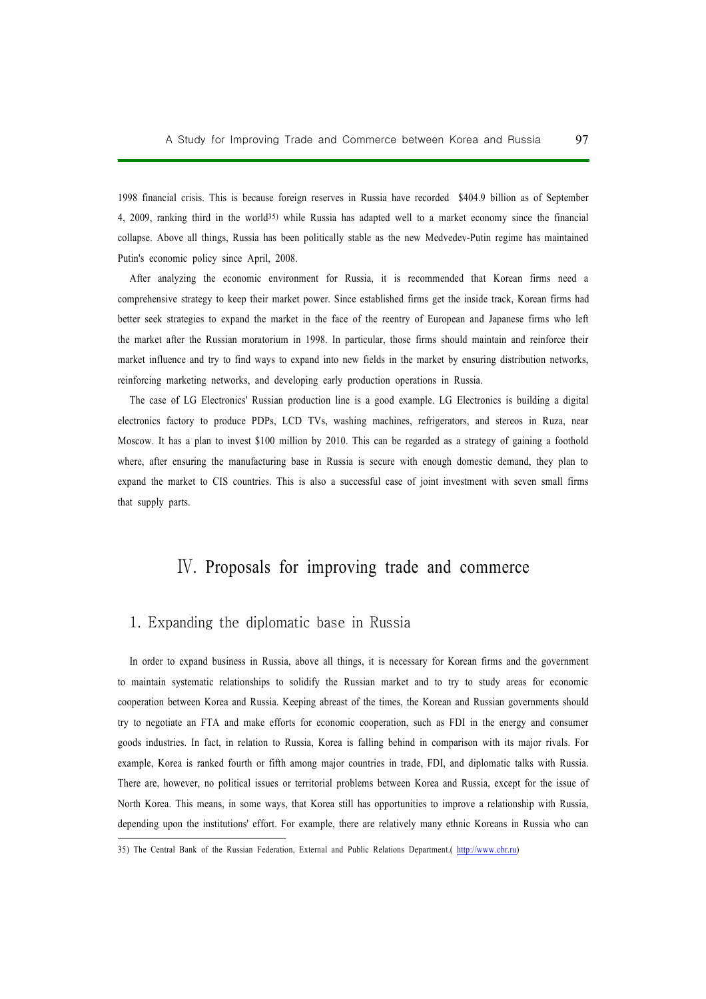1998 financial crisis. This is because foreign reserves in Russia have recorded \$404.9 billion as of September 4, 2009, ranking third in the world35) while Russia has adapted well to a market economy since the financial collapse. Above all things, Russia has been politically stable as the new Medvedev-Putin regime has maintained Putin's economic policy since April, 2008.

After analyzing the economic environment for Russia, it is recommended that Korean firms need a comprehensive strategy to keep their market power. Since established firms get the inside track, Korean firms had better seek strategies to expand the market in the face of the reentry of European and Japanese firms who left the market after the Russian moratorium in 1998. In particular, those firms should maintain and reinforce their market influence and try to find ways to expand into new fields in the market by ensuring distribution networks, reinforcing marketing networks, and developing early production operations in Russia.

The case of LG Electronics' Russian production line is a good example. LG Electronics is building a digital electronics factory to produce PDPs, LCD TVs, washing machines, refrigerators, and stereos in Ruza, near Moscow. It has a plan to invest \$100 million by 2010. This can be regarded as a strategy of gaining a foothold where, after ensuring the manufacturing base in Russia is secure with enough domestic demand, they plan to expand the market to CIS countries. This is also a successful case of joint investment with seven small firms that supply parts.

# Ⅳ. Proposals for improving trade and commerce

## 1. Expanding the diplomatic base in Russia

In order to expand business in Russia, above all things, it is necessary for Korean firms and the government to maintain systematic relationships to solidify the Russian market and to try to study areas for economic cooperation between Korea and Russia. Keeping abreast of the times, the Korean and Russian governments should try to negotiate an FTA and make efforts for economic cooperation, such as FDI in the energy and consumer goods industries. In fact, in relation to Russia, Korea is falling behind in comparison with its major rivals. For example, Korea is ranked fourth or fifth among major countries in trade, FDI, and diplomatic talks with Russia. There are, however, no political issues or territorial problems between Korea and Russia, except for the issue of North Korea. This means, in some ways, that Korea still has opportunities to improve a relationship with Russia, depending upon the institutions' effort. For example, there are relatively many ethnic Koreans in Russia who can

<sup>35)</sup> The Central Bank of the Russian Federation, External and Public Relations Department.( http://www.cbr.ru)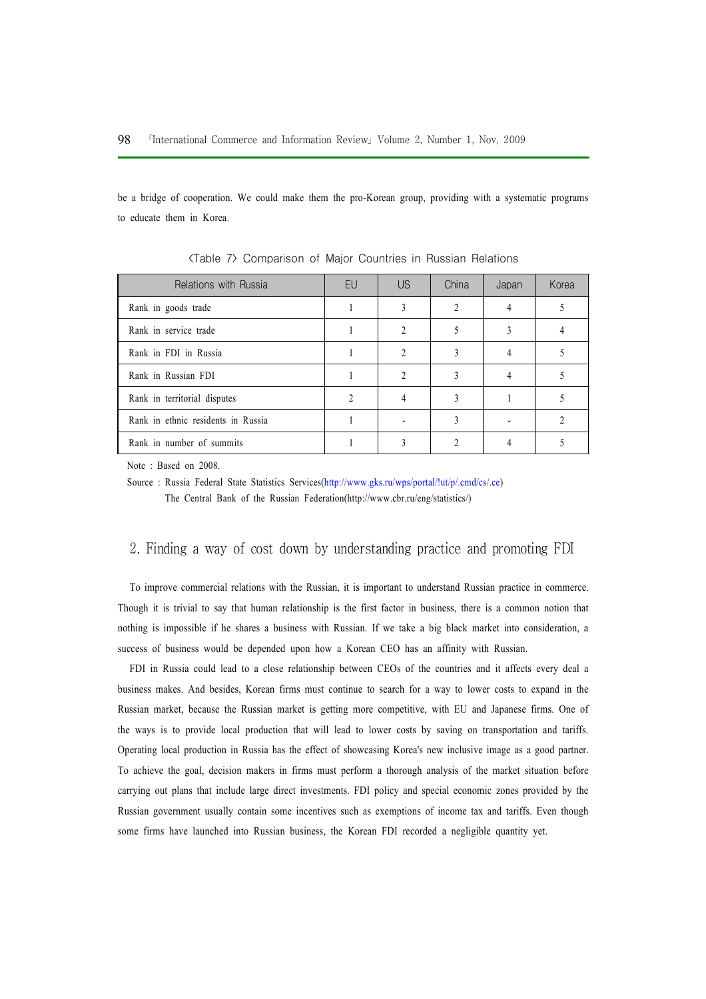be a bridge of cooperation. We could make them the pro-Korean group, providing with a systematic programs to educate them in Korea.

| Relations with Russia              | EU | US | China | Japan | Korea |
|------------------------------------|----|----|-------|-------|-------|
| Rank in goods trade                |    |    |       |       |       |
| Rank in service trade              |    |    |       |       |       |
| Rank in FDI in Russia              |    | C  |       |       |       |
| Rank in Russian FDI                |    |    |       |       |       |
| Rank in territorial disputes       |    |    |       |       |       |
| Rank in ethnic residents in Russia |    |    |       |       |       |
| Rank in number of summits          |    |    |       |       |       |

<Table 7> Comparison of Major Countries in Russian Relations

Note : Based on 2008.

Source : Russia Federal State Statistics Services(http://www.gks.ru/wps/portal/!ut/p/.cmd/cs/.ce) The Central Bank of the Russian Federation(http://www.cbr.ru/eng/statistics/)

## 2. Finding a way of cost down by understanding practice and promoting FDI

To improve commercial relations with the Russian, it is important to understand Russian practice in commerce. Though it is trivial to say that human relationship is the first factor in business, there is a common notion that nothing is impossible if he shares a business with Russian. If we take a big black market into consideration, a success of business would be depended upon how a Korean CEO has an affinity with Russian.

FDI in Russia could lead to a close relationship between CEOs of the countries and it affects every deal a business makes. And besides, Korean firms must continue to search for a way to lower costs to expand in the Russian market, because the Russian market is getting more competitive, with EU and Japanese firms. One of the ways is to provide local production that will lead to lower costs by saving on transportation and tariffs. Operating local production in Russia has the effect of showcasing Korea's new inclusive image as a good partner. To achieve the goal, decision makers in firms must perform a thorough analysis of the market situation before carrying out plans that include large direct investments. FDI policy and special economic zones provided by the Russian government usually contain some incentives such as exemptions of income tax and tariffs. Even though some firms have launched into Russian business, the Korean FDI recorded a negligible quantity yet.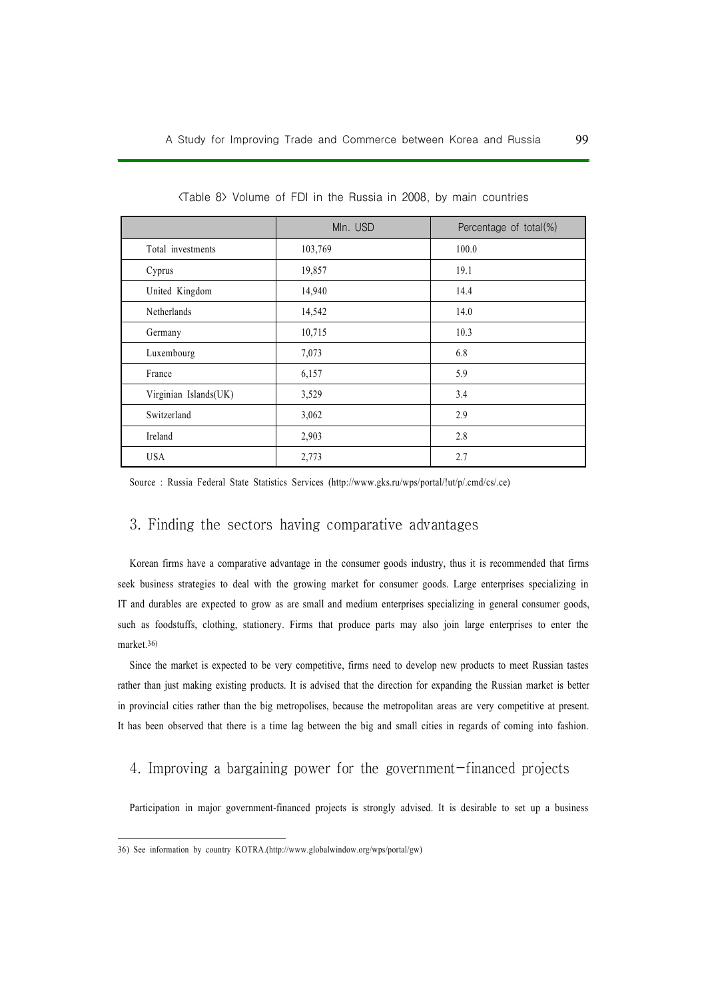|                       | Mln. USD | Percentage of total(%) |
|-----------------------|----------|------------------------|
| Total investments     | 103,769  | 100.0                  |
| Cyprus                | 19,857   | 19.1                   |
| United Kingdom        | 14,940   | 14.4                   |
| Netherlands           | 14,542   | 14.0                   |
| Germany               | 10,715   | 10.3                   |
| Luxembourg            | 7,073    | 6.8                    |
| France                | 6,157    | 5.9                    |
| Virginian Islands(UK) | 3,529    | 3.4                    |
| Switzerland           | 3,062    | 2.9                    |
| Ireland               | 2,903    | 2.8                    |
| <b>USA</b>            | 2,773    | 2.7                    |

<Table 8> Volume of FDI in the Russia in 2008, by main countries

Source : Russia Federal State Statistics Services (http://www.gks.ru/wps/portal/!ut/p/.cmd/cs/.ce)

### 3. Finding the sectors having comparative advantages

Korean firms have a comparative advantage in the consumer goods industry, thus it is recommended that firms seek business strategies to deal with the growing market for consumer goods. Large enterprises specializing in IT and durables are expected to grow as are small and medium enterprises specializing in general consumer goods, such as foodstuffs, clothing, stationery. Firms that produce parts may also join large enterprises to enter the market.36)

Since the market is expected to be very competitive, firms need to develop new products to meet Russian tastes rather than just making existing products. It is advised that the direction for expanding the Russian market is better in provincial cities rather than the big metropolises, because the metropolitan areas are very competitive at present. It has been observed that there is a time lag between the big and small cities in regards of coming into fashion.

## 4. Improving a bargaining power for the government-financed projects

Participation in major government-financed projects is strongly advised. It is desirable to set up a business

<sup>36)</sup> See information by country KOTRA.(http://www.globalwindow.org/wps/portal/gw)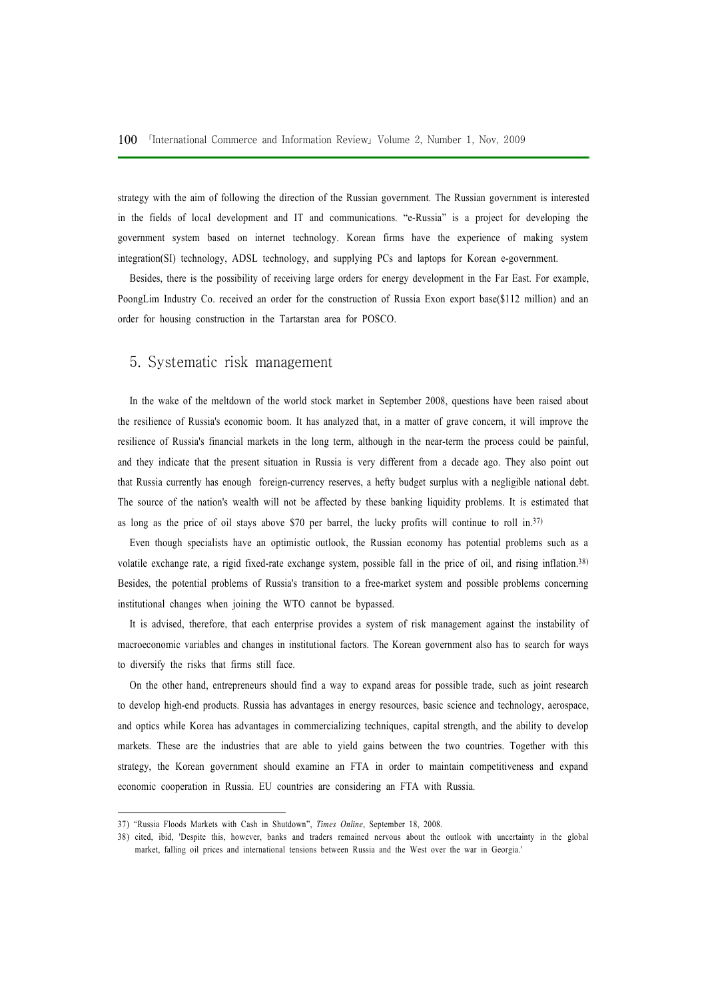strategy with the aim of following the direction of the Russian government. The Russian government is interested in the fields of local development and IT and communications. "e-Russia" is a project for developing the government system based on internet technology. Korean firms have the experience of making system integration(SI) technology, ADSL technology, and supplying PCs and laptops for Korean e-government.

Besides, there is the possibility of receiving large orders for energy development in the Far East. For example, PoongLim Industry Co. received an order for the construction of Russia Exon export base(\$112 million) and an order for housing construction in the Tartarstan area for POSCO.

#### 5. Systematic risk management

In the wake of the meltdown of the world stock market in September 2008, questions have been raised about the resilience of Russia's economic boom. It has analyzed that, in a matter of grave concern, it will improve the resilience of Russia's financial markets in the long term, although in the near-term the process could be painful, and they indicate that the present situation in Russia is very different from a decade ago. They also point out that Russia currently has enough foreign-currency reserves, a hefty budget surplus with a negligible national debt. The source of the nation's wealth will not be affected by these banking liquidity problems. It is estimated that as long as the price of oil stays above \$70 per barrel, the lucky profits will continue to roll in.37)

Even though specialists have an optimistic outlook, the Russian economy has potential problems such as a volatile exchange rate, a rigid fixed-rate exchange system, possible fall in the price of oil, and rising inflation.38) Besides, the potential problems of Russia's transition to a free-market system and possible problems concerning institutional changes when joining the WTO cannot be bypassed.

It is advised, therefore, that each enterprise provides a system of risk management against the instability of macroeconomic variables and changes in institutional factors. The Korean government also has to search for ways to diversify the risks that firms still face.

On the other hand, entrepreneurs should find a way to expand areas for possible trade, such as joint research to develop high-end products. Russia has advantages in energy resources, basic science and technology, aerospace, and optics while Korea has advantages in commercializing techniques, capital strength, and the ability to develop markets. These are the industries that are able to yield gains between the two countries. Together with this strategy, the Korean government should examine an FTA in order to maintain competitiveness and expand economic cooperation in Russia. EU countries are considering an FTA with Russia.

<sup>37) &</sup>quot;Russia Floods Markets with Cash in Shutdown", Times Online, September 18, 2008.

<sup>38)</sup> cited, ibid, 'Despite this, however, banks and traders remained nervous about the outlook with uncertainty in the global market, falling oil prices and international tensions between Russia and the West over the war in Georgia.'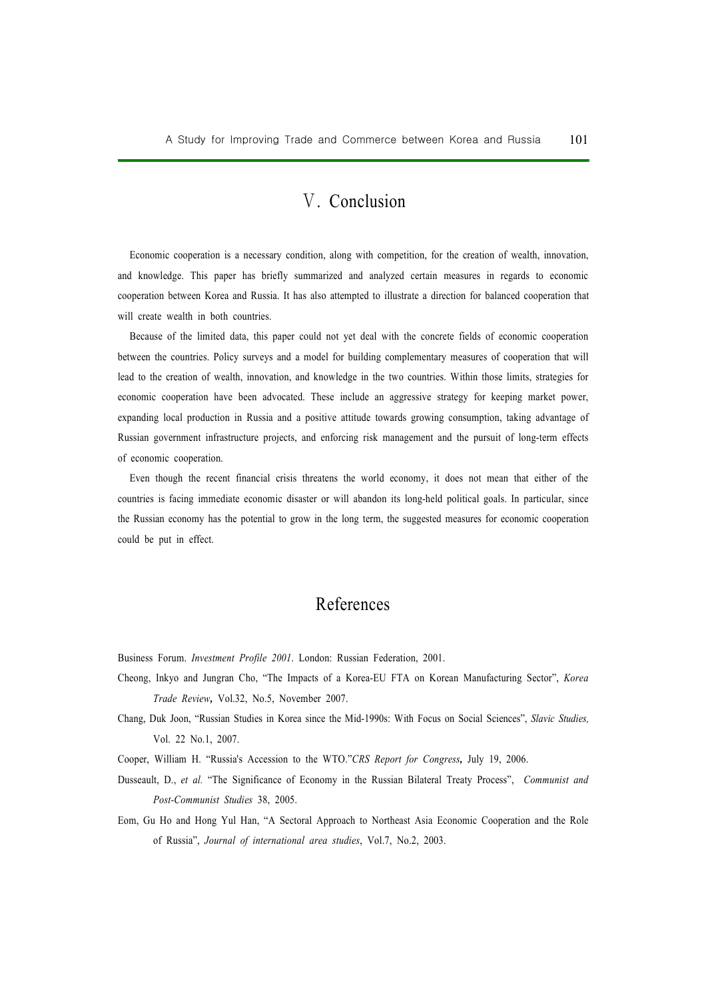# Ⅴ. Conclusion

Economic cooperation is a necessary condition, along with competition, for the creation of wealth, innovation, and knowledge. This paper has briefly summarized and analyzed certain measures in regards to economic cooperation between Korea and Russia. It has also attempted to illustrate a direction for balanced cooperation that will create wealth in both countries.

Because of the limited data, this paper could not yet deal with the concrete fields of economic cooperation between the countries. Policy surveys and a model for building complementary measures of cooperation that will lead to the creation of wealth, innovation, and knowledge in the two countries. Within those limits, strategies for economic cooperation have been advocated. These include an aggressive strategy for keeping market power, expanding local production in Russia and a positive attitude towards growing consumption, taking advantage of Russian government infrastructure projects, and enforcing risk management and the pursuit of long-term effects of economic cooperation.

Even though the recent financial crisis threatens the world economy, it does not mean that either of the countries is facing immediate economic disaster or will abandon its long-held political goals. In particular, since the Russian economy has the potential to grow in the long term, the suggested measures for economic cooperation could be put in effect.

# References

Business Forum. Investment Profile 2001. London: Russian Federation, 2001.

- Cheong, Inkyo and Jungran Cho, "The Impacts of a Korea-EU FTA on Korean Manufacturing Sector", Korea Trade Review, Vol.32, No.5, November 2007.
- Chang, Duk Joon, "Russian Studies in Korea since the Mid-1990s: With Focus on Social Sciences", Slavic Studies, Vol. 22 No.1, 2007.
- Cooper, William H. "Russia's Accession to the WTO."CRS Report for Congress, July 19, 2006.
- Dusseault, D., et al. "The Significance of Economy in the Russian Bilateral Treaty Process", Communist and Post-Communist Studies 38, 2005.
- Eom, Gu Ho and Hong Yul Han, "A Sectoral Approach to Northeast Asia Economic Cooperation and the Role of Russia", Journal of international area studies, Vol.7, No.2, 2003.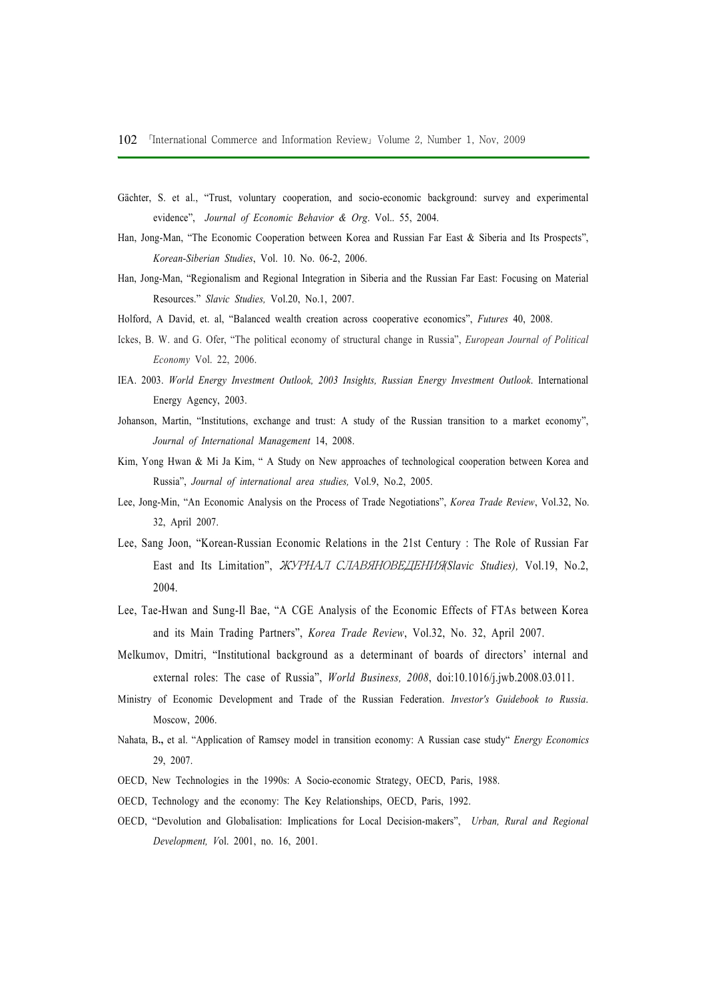- Gächter, S. et al., "Trust, voluntary cooperation, and socio-economic background: survey and experimental evidence", Journal of Economic Behavior & Org. Vol. 55, 2004.
- Han, Jong-Man, "The Economic Cooperation between Korea and Russian Far East & Siberia and Its Prospects", Korean-Siberian Studies, Vol. 10. No. 06-2, 2006.
- Han, Jong-Man, "Regionalism and Regional Integration in Siberia and the Russian Far East: Focusing on Material Resources." Slavic Studies, Vol.20, No.1, 2007.
- Holford, A David, et. al, "Balanced wealth creation across cooperative economics", Futures 40, 2008.
- Ickes, B. W. and G. Ofer, "The political economy of structural change in Russia", European Journal of Political Economy Vol. 22, 2006.
- IEA. 2003. World Energy Investment Outlook, 2003 Insights, Russian Energy Investment Outlook. International Energy Agency, 2003.
- Johanson, Martin, "Institutions, exchange and trust: A study of the Russian transition to a market economy", Journal of International Management 14, 2008.
- Kim, Yong Hwan & Mi Ja Kim, " A Study on New approaches of technological cooperation between Korea and Russia", Journal of international area studies, Vol.9, No.2, 2005.
- Lee, Jong-Min, "An Economic Analysis on the Process of Trade Negotiations", Korea Trade Review, Vol.32, No. 32, April 2007.
- Lee, Sang Joon, "Korean-Russian Economic Relations in the 21st Century : The Role of Russian Far East and Its Limitation", ЖУРНАЛ СЛАВЯНОВЕДЕНИЯ(Slavic Studies), Vol.19, No.2, 2004.
- Lee, Tae-Hwan and Sung-Il Bae, "A CGE Analysis of the Economic Effects of FTAs between Korea and its Main Trading Partners", Korea Trade Review, Vol.32, No. 32, April 2007.
- Melkumov, Dmitri, "Institutional background as a determinant of boards of directors' internal and external roles: The case of Russia", World Business, 2008, doi:10.1016/j.jwb.2008.03.011.
- Ministry of Economic Development and Trade of the Russian Federation. Investor's Guidebook to Russia. Moscow, 2006.
- Nahata, B., et al. "Application of Ramsey model in transition economy: A Russian case study" Energy Economics 29, 2007.
- OECD, New Technologies in the 1990s: A Socio-economic Strategy, OECD, Paris, 1988.
- OECD, Technology and the economy: The Key Relationships, OECD, Paris, 1992.
- OECD, "Devolution and Globalisation: Implications for Local Decision-makers", Urban, Rural and Regional Development, Vol. 2001, no. 16, 2001.